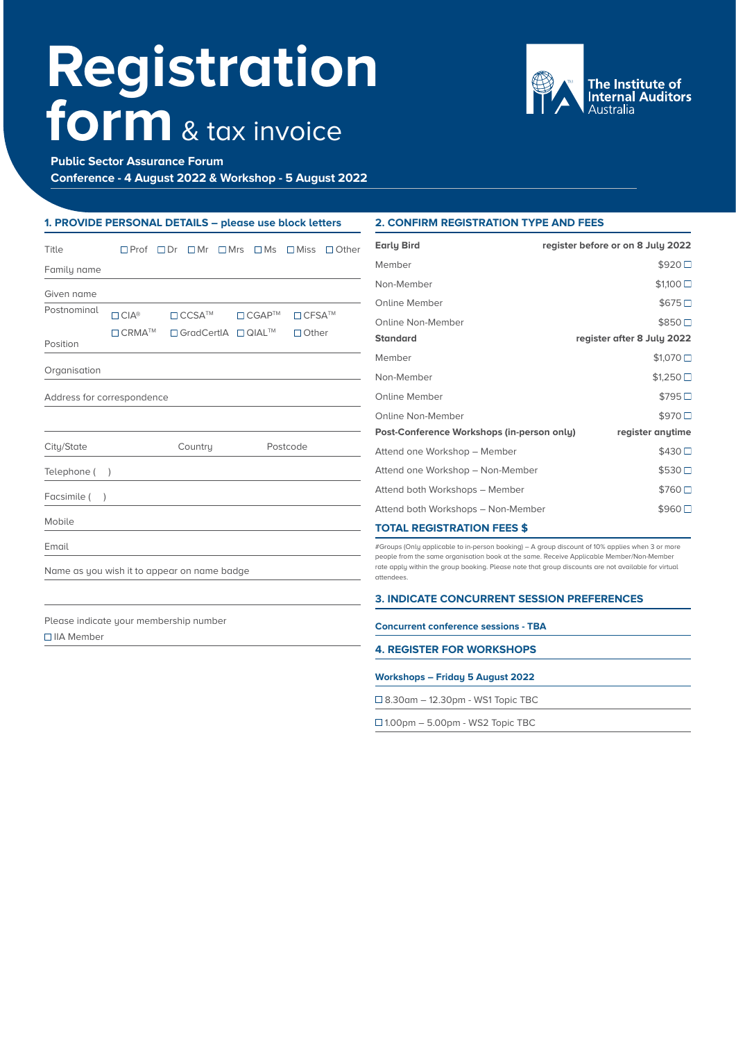# **Registration form** & tax invoice



**Public Sector Assurance Forum** 

**Conference - 4 August 2022 & Workshop - 5 August 2022** 

## **1. PROVIDE PERSONAL DETAILS – please use block letters**

| Title                                                | $\Box$ Prof               | $\Box$ Dr<br>$\Box$ Mr                 | $\square$ Mrs<br>$\Box$ Ms | $\Box$ Miss<br>$\Box$ Other | <b>Early Bird</b>                                                                                                                                                                                                                                                                                                | register before or on 8 July 2022 |
|------------------------------------------------------|---------------------------|----------------------------------------|----------------------------|-----------------------------|------------------------------------------------------------------------------------------------------------------------------------------------------------------------------------------------------------------------------------------------------------------------------------------------------------------|-----------------------------------|
| Family name                                          |                           |                                        |                            |                             | Member                                                                                                                                                                                                                                                                                                           | \$920□                            |
| Given name                                           |                           |                                        |                            |                             | Non-Member                                                                                                                                                                                                                                                                                                       | \$1,100                           |
| Postnominal                                          | $\Box$ CIA <sup>®</sup>   | $\Box$ CCSA <sup>TM</sup>              | $\Box$ CGAP <sup>TM</sup>  | $\Box$ CFSA <sup>TM</sup>   | Online Member                                                                                                                                                                                                                                                                                                    | \$675                             |
|                                                      |                           |                                        |                            |                             | Online Non-Member                                                                                                                                                                                                                                                                                                | \$850□                            |
| Position                                             | $\Box$ CRMA <sup>TM</sup> | □ GradCertIA □ QIAL™                   |                            | $\Box$ Other                | <b>Standard</b>                                                                                                                                                                                                                                                                                                  | register after 8 July 2022        |
|                                                      |                           |                                        |                            |                             | Member                                                                                                                                                                                                                                                                                                           | \$1,070                           |
| Organisation                                         |                           |                                        |                            |                             | Non-Member                                                                                                                                                                                                                                                                                                       | \$1,250                           |
| Address for correspondence                           |                           |                                        |                            |                             | <b>Online Member</b>                                                                                                                                                                                                                                                                                             | \$795□                            |
|                                                      |                           |                                        |                            |                             | Online Non-Member                                                                                                                                                                                                                                                                                                | \$970□                            |
|                                                      |                           |                                        |                            |                             | Post-Conference Workshops (in-person only)                                                                                                                                                                                                                                                                       | register anytime                  |
| City/State                                           |                           | Country                                |                            | Postcode                    | Attend one Workshop - Member                                                                                                                                                                                                                                                                                     | \$430□                            |
| Telephone (                                          |                           |                                        |                            |                             | Attend one Workshop - Non-Member                                                                                                                                                                                                                                                                                 | \$530                             |
| Facsimile (                                          |                           |                                        |                            |                             | Attend both Workshops - Member                                                                                                                                                                                                                                                                                   | \$760□                            |
|                                                      |                           |                                        |                            |                             | Attend both Workshops - Non-Member                                                                                                                                                                                                                                                                               | \$960□                            |
| Mobile                                               |                           |                                        |                            |                             | <b>TOTAL REGISTRATION FEES \$</b>                                                                                                                                                                                                                                                                                |                                   |
| Email<br>Name as you wish it to appear on name badge |                           |                                        |                            |                             | #Groups (Only applicable to in-person booking) – A group discount of 10% applies when 3 or more<br>people from the same organisation book at the same. Receive Applicable Member/Non-Member<br>rate apply within the group booking. Please note that group discounts are not available for virtual<br>attendees. |                                   |
|                                                      |                           |                                        |                            |                             |                                                                                                                                                                                                                                                                                                                  |                                   |
|                                                      |                           |                                        |                            |                             | <b>3. INDICATE CONCURRENT SESSION PREFERENCES</b>                                                                                                                                                                                                                                                                |                                   |
|                                                      |                           | Please indicate your membership number |                            |                             | suscended conformed constance. TDA                                                                                                                                                                                                                                                                               |                                   |

□IIA Member

# **2. CONFIRM REGISTRATION TYPE AND FEES**

#### **Concurrent conference sessions - TBA**

**4. REGISTER FOR WORKSHOPS**

## **Workshops – Friday 5 August 2022**

8.30am – 12.30pm - WS1 Topic TBC

 $\Box$  1.00pm – 5.00pm - WS2 Topic TBC